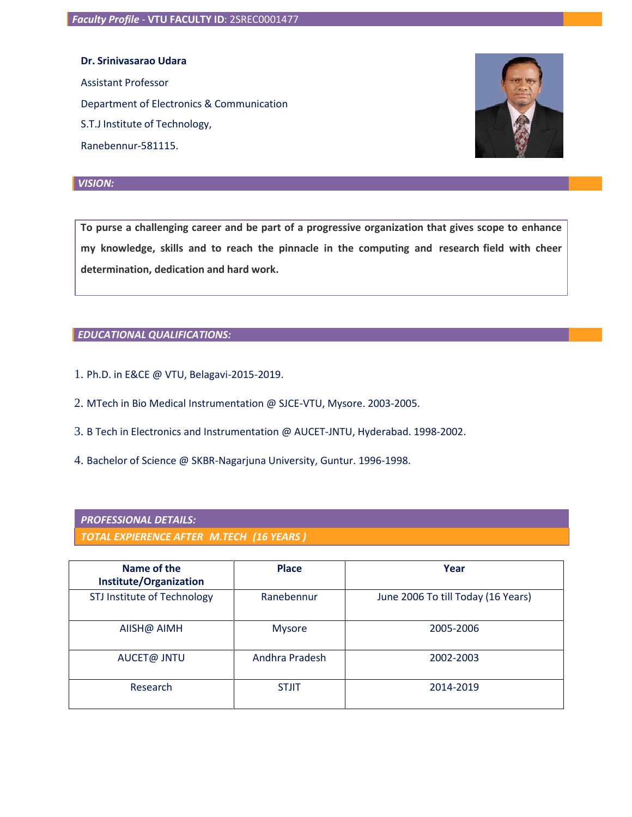**Dr. Srinivasarao Udara**

Ranebennur-581115.

Assistant Professor Department of Electronics & Communication S.T.J Institute of Technology,



**To purse a challenging career and be part of a progressive organization that gives scope to enhance my knowledge, skills and to reach the pinnacle in the computing and research field with cheer determination, dedication and hard work.**

### *EDUCATIONAL QUALIFICATIONS:*

- 1. Ph.D. in E&CE @ VTU, Belagavi-2015-2019.
- 2. MTech in Bio Medical Instrumentation @ SJCE-VTU, Mysore. 2003-2005.
- 3. B Tech in Electronics and Instrumentation @ AUCET-JNTU, Hyderabad. 1998-2002.
- 4. Bachelor of Science @ SKBR-Nagarjuna University, Guntur. 1996-1998.

### *PROFESSIONAL DETAILS:*

*TOTAL EXPIERENCE AFTER M.TECH (16 YEARS )*

| Name of the<br>Institute/Organization | <b>Place</b>   | Year                               |  |
|---------------------------------------|----------------|------------------------------------|--|
| STJ Institute of Technology           | Ranebennur     | June 2006 To till Today (16 Years) |  |
| AIISH@ AIMH                           | <b>Mysore</b>  | 2005-2006                          |  |
| AUCET@ JNTU                           | Andhra Pradesh | 2002-2003                          |  |
| Research                              | <b>STJIT</b>   | 2014-2019                          |  |

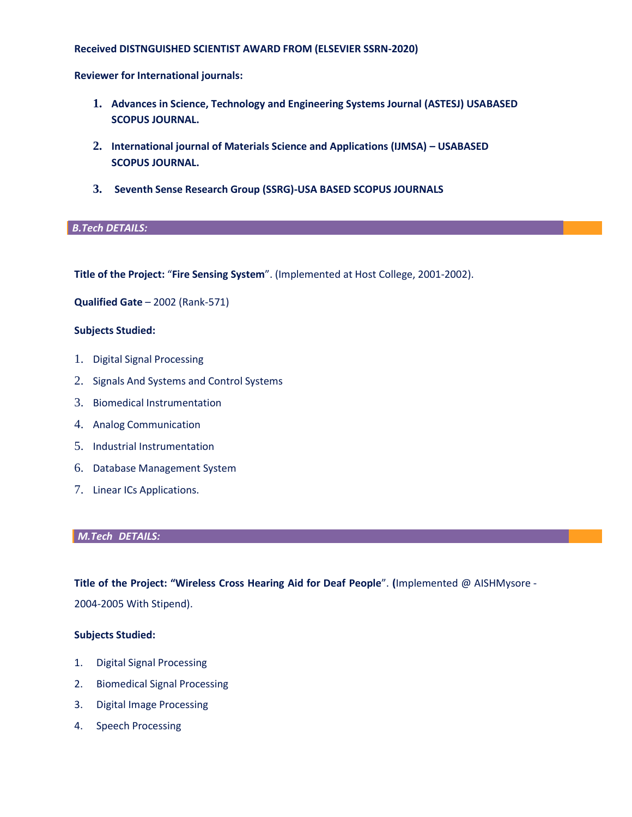### **Received DISTNGUISHED SCIENTIST AWARD FROM (ELSEVIER SSRN-2020)**

**Reviewer for International journals:**

- **1. Advances in Science, Technology and Engineering Systems Journal (ASTESJ) USABASED SCOPUS JOURNAL.**
- **2. International journal of Materials Science and Applications (IJMSA) – USABASED SCOPUS JOURNAL.**
- **3. Seventh Sense Research Group (SSRG)-USA BASED SCOPUS JOURNALS**

### *B.Tech DETAILS:*

**Title of the Project:** "**Fire Sensing System**". (Implemented at Host College, 2001-2002).

**Qualified Gate** – 2002 (Rank-571)

### **Subjects Studied:**

- 1. Digital Signal Processing
- 2. Signals And Systems and Control Systems
- 3. Biomedical Instrumentation
- 4. Analog Communication
- 5. Industrial Instrumentation
- 6. Database Management System
- 7. Linear ICs Applications.

#### *M.Tech DETAILS:*

**Title of the Project: "Wireless Cross Hearing Aid for Deaf People**". **(**Implemented @ AISHMysore - 2004-2005 With Stipend).

### **Subjects Studied:**

- 1. Digital Signal Processing
- 2. Biomedical Signal Processing
- 3. Digital Image Processing
- 4. Speech Processing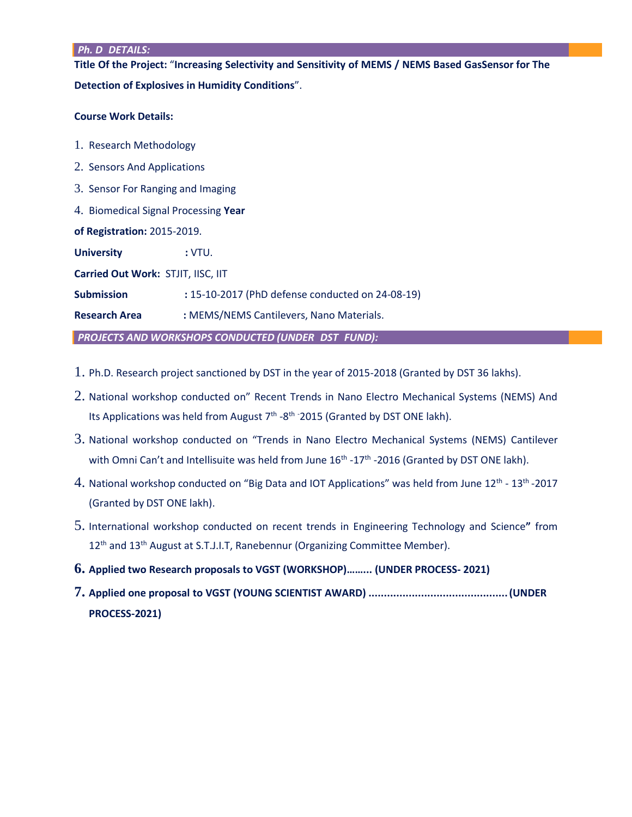#### *Ph. D DETAILS:*

**Title Of the Project:** "**Increasing Selectivity and Sensitivity of MEMS / NEMS Based GasSensor for The Detection of Explosives in Humidity Conditions**".

### **Course Work Details:**

- 1. Research Methodology
- 2. Sensors And Applications
- 3. Sensor For Ranging and Imaging
- 4. Biomedical Signal Processing **Year**

**of Registration:** 2015-2019.

**University :** VTU.

**Carried Out Work:** STJIT, IISC, IIT

**Submission :** 15-10-2017 (PhD defense conducted on 24-08-19)

**Research Area :** MEMS/NEMS Cantilevers, Nano Materials.

*PROJECTS AND WORKSHOPS CONDUCTED (UNDER DST FUND):*

- 1. Ph.D. Research project sanctioned by DST in the year of 2015-2018 (Granted by DST 36 lakhs).
- 2. National workshop conducted on" Recent Trends in Nano Electro Mechanical Systems (NEMS) And Its Applications was held from August  $7<sup>th</sup>$  -8<sup>th -</sup>2015 (Granted by DST ONE lakh).
- 3. National workshop conducted on "Trends in Nano Electro Mechanical Systems (NEMS) Cantilever with Omni Can't and Intellisuite was held from June  $16<sup>th</sup>$  -17<sup>th</sup> -2016 (Granted by DST ONE lakh).
- 4. National workshop conducted on "Big Data and IOT Applications" was held from June 12<sup>th</sup> 13<sup>th</sup> -2017 (Granted by DST ONE lakh).
- 5. International workshop conducted on recent trends in Engineering Technology and Science**"** from 12<sup>th</sup> and 13<sup>th</sup> August at S.T.J.I.T, Ranebennur (Organizing Committee Member).
- **6. Applied two Research proposals to VGST (WORKSHOP)……... (UNDER PROCESS- 2021)**
- **7. Applied one proposal to VGST (YOUNG SCIENTIST AWARD) .............................................(UNDER PROCESS-2021)**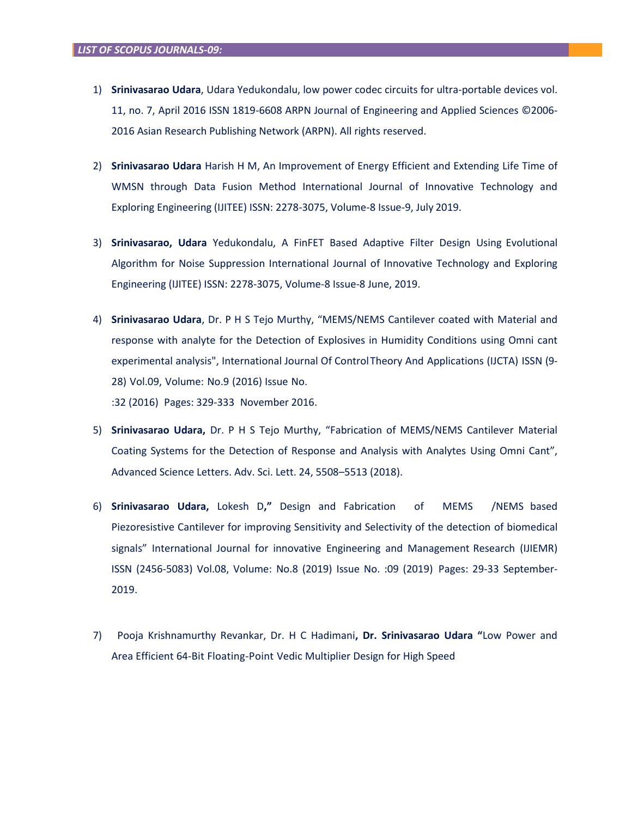- 1) **Srinivasarao Udara**, Udara Yedukondalu, low power codec circuits for ultra-portable devices vol. 11, no. 7, April 2016 ISSN 1819-6608 ARPN Journal of Engineering and Applied Sciences ©2006- 2016 Asian Research Publishing Network (ARPN). All rights reserved.
- 2) **Srinivasarao Udara** Harish H M, An Improvement of Energy Efficient and Extending Life Time of WMSN through Data Fusion Method International Journal of Innovative Technology and Exploring Engineering (IJITEE) ISSN: 2278-3075, Volume-8 Issue-9, July 2019.
- 3) **Srinivasarao, Udara** Yedukondalu, A FinFET Based Adaptive Filter Design Using Evolutional Algorithm for Noise Suppression International Journal of Innovative Technology and Exploring Engineering (IJITEE) ISSN: 2278-3075, Volume-8 Issue-8 June, 2019.
- 4) **Srinivasarao Udara**, Dr. P H S Tejo Murthy, "MEMS/NEMS Cantilever coated with Material and response with analyte for the Detection of Explosives in Humidity Conditions using Omni cant experimental analysis", International Journal Of ControlTheory And Applications (IJCTA) ISSN (9- 28) Vol.09, Volume: No.9 (2016) Issue No.

:32 (2016) Pages: 329-333 November 2016.

- 5) **Srinivasarao Udara,** Dr. P H S Tejo Murthy, "Fabrication of MEMS/NEMS Cantilever Material Coating Systems for the Detection of Response and Analysis with Analytes Using Omni Cant", Advanced Science Letters. Adv. Sci. Lett. 24, 5508–5513 (2018).
- 6) **Srinivasarao Udara,** Lokesh D**,"** Design and Fabrication of MEMS /NEMS based Piezoresistive Cantilever for improving Sensitivity and Selectivity of the detection of biomedical signals" International Journal for innovative Engineering and Management Research (IJIEMR) ISSN (2456-5083) Vol.08, Volume: No.8 (2019) Issue No. :09 (2019) Pages: 29-33 September-2019.
- 7) Pooja Krishnamurthy Revankar, Dr. H C Hadimani**, Dr. Srinivasarao Udara "**Low Power and Area Efficient 64-Bit Floating-Point Vedic Multiplier Design for High Speed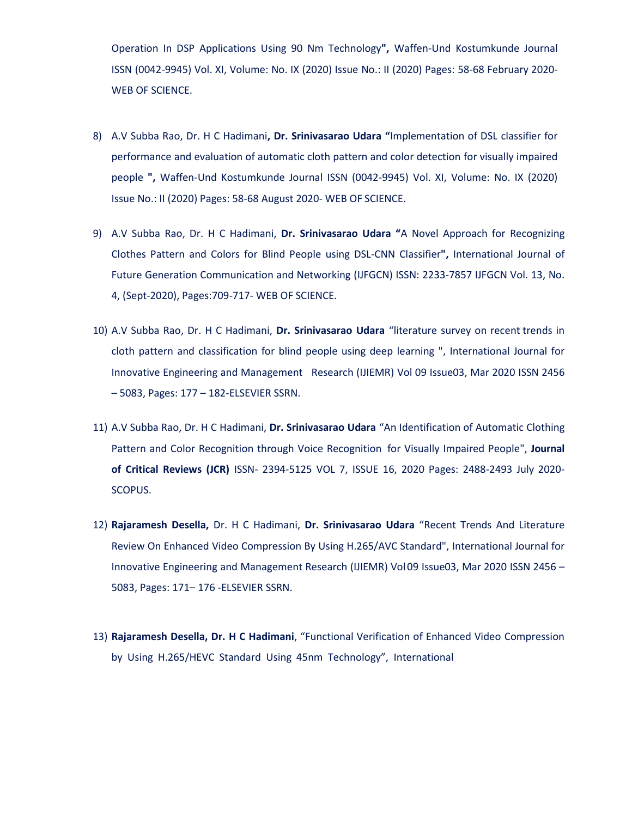Operation In DSP Applications Using 90 Nm Technology**",** Waffen-Und Kostumkunde Journal ISSN (0042-9945) Vol. XI, Volume: No. IX (2020) Issue No.: II (2020) Pages: 58-68 February 2020- WEB OF SCIENCE.

- 8) A.V Subba Rao, Dr. H C Hadimani**, Dr. Srinivasarao Udara "**Implementation of DSL classifier for performance and evaluation of automatic cloth pattern and color detection for visually impaired people **",** Waffen-Und Kostumkunde Journal ISSN (0042-9945) Vol. XI, Volume: No. IX (2020) Issue No.: II (2020) Pages: 58-68 August 2020- WEB OF SCIENCE.
- 9) A.V Subba Rao, Dr. H C Hadimani, **Dr. Srinivasarao Udara "**A Novel Approach for Recognizing Clothes Pattern and Colors for Blind People using DSL-CNN Classifier**",** International Journal of Future Generation Communication and Networking (IJFGCN) ISSN: 2233-7857 IJFGCN Vol. 13, No. 4, (Sept-2020), Pages:709-717- WEB OF SCIENCE.
- 10) A.V Subba Rao, Dr. H C Hadimani, **Dr. Srinivasarao Udara** "literature survey on recent trends in cloth pattern and classification for blind people using deep learning ", International Journal for Innovative Engineering and Management Research (IJIEMR) Vol 09 Issue03, Mar 2020 ISSN 2456 – 5083, Pages: 177 – 182-ELSEVIER SSRN.
- 11) A.V Subba Rao, Dr. H C Hadimani, **Dr. Srinivasarao Udara** "An Identification of Automatic Clothing Pattern and Color Recognition through Voice Recognition for Visually Impaired People", **Journal of Critical Reviews (JCR)** ISSN- 2394-5125 VOL 7, ISSUE 16, 2020 Pages: 2488-2493 July 2020- SCOPUS.
- 12) **Rajaramesh Desella,** Dr. H C Hadimani, **Dr. Srinivasarao Udara** "Recent Trends And Literature Review On Enhanced Video Compression By Using H.265/AVC Standard", International Journal for Innovative Engineering and Management Research (IJIEMR) Vol09 Issue03, Mar 2020 ISSN 2456 – 5083, Pages: 171– 176 -ELSEVIER SSRN.
- 13) **Rajaramesh Desella, Dr. H C Hadimani**, "Functional Verification of Enhanced Video Compression by Using H.265/HEVC Standard Using 45nm Technology", International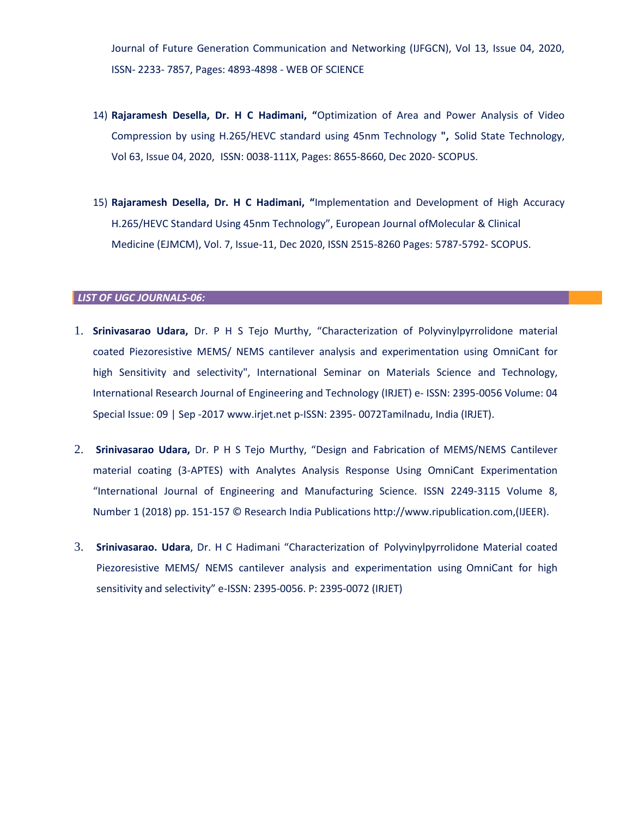Journal of Future Generation Communication and Networking (IJFGCN), Vol 13, Issue 04, 2020, ISSN- 2233- 7857, Pages: 4893-4898 - WEB OF SCIENCE

- 14) **Rajaramesh Desella, Dr. H C Hadimani, "**Optimization of Area and Power Analysis of Video Compression by using H.265/HEVC standard using 45nm Technology **",** Solid State Technology, Vol 63, Issue 04, 2020, ISSN: 0038-111X, Pages: 8655-8660, Dec 2020- SCOPUS.
- 15) **Rajaramesh Desella, Dr. H C Hadimani, "**Implementation and Development of High Accuracy H.265/HEVC Standard Using 45nm Technology", European Journal ofMolecular & Clinical Medicine (EJMCM), Vol. 7, Issue-11, Dec 2020, ISSN 2515-8260 Pages: 5787-5792- SCOPUS.

#### *LIST OF UGC JOURNALS-06:*

- 1. **Srinivasarao Udara,** Dr. P H S Tejo Murthy, "Characterization of Polyvinylpyrrolidone material coated Piezoresistive MEMS/ NEMS cantilever analysis and experimentation using OmniCant for high Sensitivity and selectivity", International Seminar on Materials Science and Technology, International Research Journal of Engineering and Technology (IRJET) e- ISSN: 2395-0056 Volume: 04 Special Issue: 09 | Sep -2017 [www.irjet.net](http://www.irjet.net/) p-ISSN: 2395- 0072Tamilnadu, India (IRJET).
- 2. **Srinivasarao Udara,** Dr. P H S Tejo Murthy, "Design and Fabrication of MEMS/NEMS Cantilever material coating (3-APTES) with Analytes Analysis Response Using OmniCant Experimentation "International Journal of Engineering and Manufacturing Science. ISSN 2249-3115 Volume 8, Number 1 (2018) pp. 151-157 © Research India Publications http://www.ripublication.com,(IJEER).
- 3. **Srinivasarao. Udara**, Dr. H C Hadimani "Characterization of Polyvinylpyrrolidone Material coated Piezoresistive MEMS/ NEMS cantilever analysis and experimentation using OmniCant for high sensitivity and selectivity" e-ISSN: 2395-0056. P: 2395-0072 (IRJET)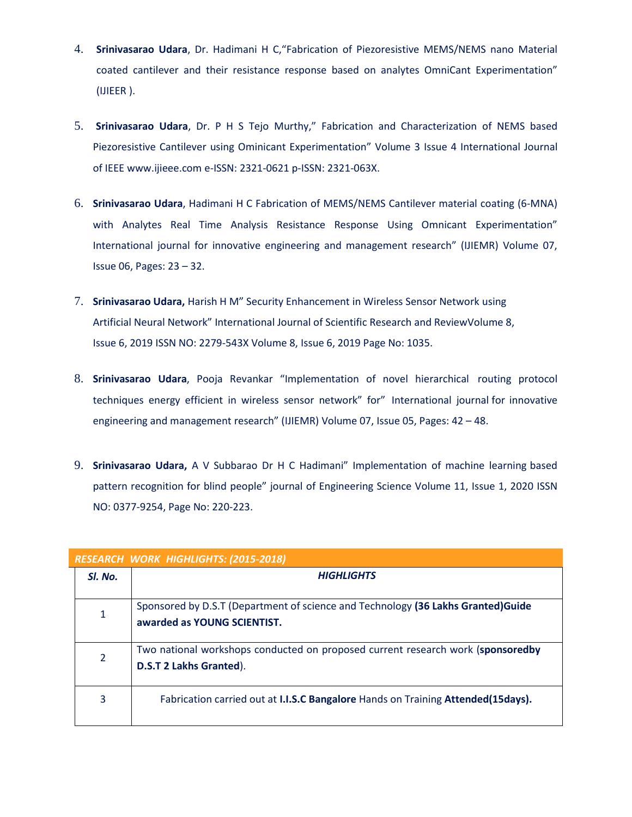- 4. **Srinivasarao Udara**, Dr. Hadimani H C,"Fabrication of Piezoresistive MEMS/NEMS nano Material coated cantilever and their resistance response based on analytes OmniCant Experimentation" (IJIEER ).
- 5. **Srinivasarao Udara**, Dr. P H S Tejo Murthy," Fabrication and Characterization of NEMS based Piezoresistive Cantilever using Ominicant Experimentation" Volume 3 Issue 4 International Journal of IEEE [www.ijieee.com](http://www.ijieee.com/) e-ISSN: 2321-0621 p-ISSN: 2321-063X.
- 6. **Srinivasarao Udara**, Hadimani H C Fabrication of MEMS/NEMS Cantilever material coating (6-MNA) with Analytes Real Time Analysis Resistance Response Using Omnicant Experimentation" International journal for innovative engineering and management research" (IJIEMR) Volume 07, Issue 06, Pages: 23 – 32.
- 7. **Srinivasarao Udara,** Harish H M" Security Enhancement in Wireless Sensor Network using Artificial Neural Network" International Journal of Scientific Research and ReviewVolume 8, Issue 6, 2019 ISSN NO: 2279-543X Volume 8, Issue 6, 2019 Page No: 1035.
- 8. **Srinivasarao Udara**, Pooja Revankar "Implementation of novel hierarchical routing protocol techniques energy efficient in wireless sensor network" for" International journal for innovative engineering and management research" (IJIEMR) Volume 07, Issue 05, Pages: 42 – 48.
- 9. **Srinivasarao Udara,** A V Subbarao Dr H C Hadimani" Implementation of machine learning based pattern recognition for blind people" journal of Engineering Science Volume 11, Issue 1, 2020 ISSN NO: 0377-9254, Page No: 220-223.

| <b>RESEARCH WORK HIGHLIGHTS: (2015-2018)</b> |                                                                                                                   |  |  |  |  |
|----------------------------------------------|-------------------------------------------------------------------------------------------------------------------|--|--|--|--|
| SI. No.                                      | <b>HIGHLIGHTS</b>                                                                                                 |  |  |  |  |
| $\mathbf{1}$                                 | Sponsored by D.S.T (Department of science and Technology (36 Lakhs Granted) Guide<br>awarded as YOUNG SCIENTIST.  |  |  |  |  |
| $\overline{2}$                               | Two national workshops conducted on proposed current research work (sponsoredby<br><b>D.S.T 2 Lakhs Granted).</b> |  |  |  |  |
| 3                                            | Fabrication carried out at I.I.S.C Bangalore Hands on Training Attended(15days).                                  |  |  |  |  |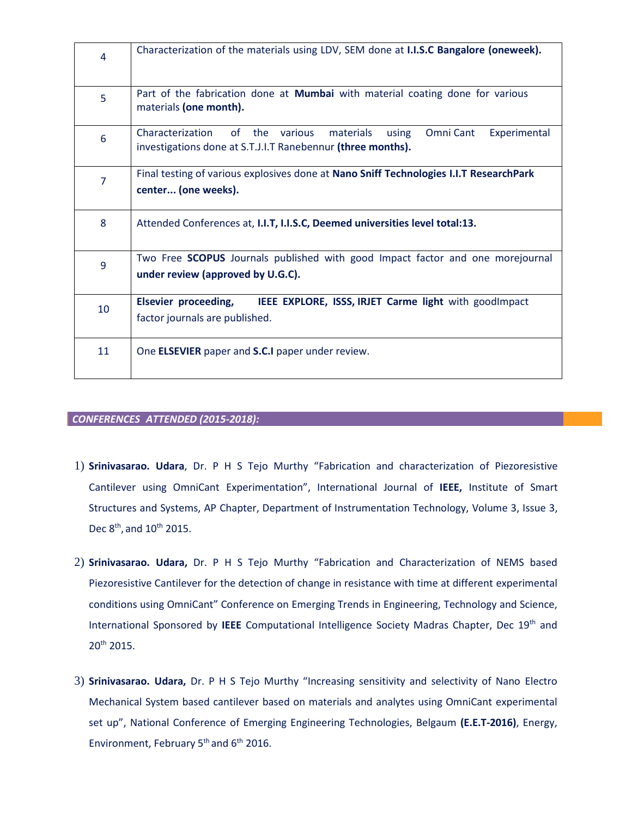| 4              | Characterization of the materials using LDV, SEM done at I.I.S.C Bangalore (oneweek).                                                                   |  |  |  |
|----------------|---------------------------------------------------------------------------------------------------------------------------------------------------------|--|--|--|
| 5              | Part of the fabrication done at Mumbai with material coating done for various<br>materials (one month).                                                 |  |  |  |
| 6              | of the<br>Characterization<br>various<br>materials<br>Omni Cant<br>Experimental<br>using<br>investigations done at S.T.J.I.T Ranebennur (three months). |  |  |  |
| $\overline{7}$ | Final testing of various explosives done at Nano Sniff Technologies I.I.T ResearchPark<br>center (one weeks).                                           |  |  |  |
| 8              | Attended Conferences at, I.I.T, I.I.S.C, Deemed universities level total:13.                                                                            |  |  |  |
| 9              | Two Free SCOPUS Journals published with good Impact factor and one morejournal<br>under review (approved by U.G.C).                                     |  |  |  |
| 10             | Elsevier proceeding,<br>IEEE EXPLORE, ISSS, IRJET Carme light with good mpact<br>factor journals are published.                                         |  |  |  |
| 11             | One <b>ELSEVIER</b> paper and <b>S.C.I</b> paper under review.                                                                                          |  |  |  |

### *CONFERENCES ATTENDED (2015-2018):*

- 1) **Srinivasarao. Udara**, Dr. P H S Tejo Murthy "Fabrication and characterization of Piezoresistive Cantilever using OmniCant Experimentation", International Journal of **IEEE,** Institute of Smart Structures and Systems, AP Chapter, Department of Instrumentation Technology, Volume 3, Issue 3, Dec  $8^{\text{th}}$ , and  $10^{\text{th}}$  2015.
- 2) **Srinivasarao. Udara,** Dr. P H S Tejo Murthy "Fabrication and Characterization of NEMS based Piezoresistive Cantilever for the detection of change in resistance with time at different experimental conditions using OmniCant" Conference on Emerging Trends in Engineering, Technology and Science, International Sponsored by **IEEE** Computational Intelligence Society Madras Chapter, Dec 19th and 20th 2015.
- 3) **Srinivasarao. Udara,** Dr. P H S Tejo Murthy "Increasing sensitivity and selectivity of Nano Electro Mechanical System based cantilever based on materials and analytes using OmniCant experimental set up", National Conference of Emerging Engineering Technologies, Belgaum **(E.E.T-2016)**, Energy, Environment, February 5<sup>th</sup> and 6<sup>th</sup> 2016.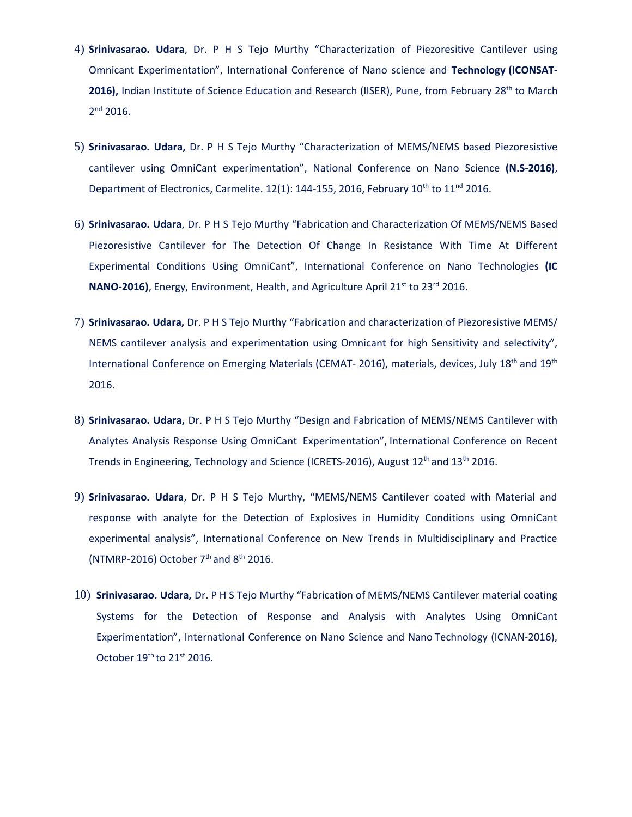- 4) **Srinivasarao. Udara**, Dr. P H S Tejo Murthy "Characterization of Piezoresitive Cantilever using Omnicant Experimentation", International Conference of Nano science and **Technology (ICONSAT-**2016), Indian Institute of Science Education and Research (IISER), Pune, from February 28<sup>th</sup> to March 2 nd 2016.
- 5) **Srinivasarao. Udara,** Dr. P H S Tejo Murthy "Characterization of MEMS/NEMS based Piezoresistive cantilever using OmniCant experimentation", National Conference on Nano Science **(N.S-2016)**, Department of Electronics, Carmelite.  $12(1)$ : 144-155, 2016, February 10<sup>th</sup> to 11<sup>nd</sup> 2016.
- 6) **Srinivasarao. Udara**, Dr. P H S Tejo Murthy "Fabrication and Characterization Of MEMS/NEMS Based Piezoresistive Cantilever for The Detection Of Change In Resistance With Time At Different Experimental Conditions Using OmniCant", International Conference on Nano Technologies **(IC NANO-2016**), Energy, Environment, Health, and Agriculture April 21<sup>st</sup> to 23<sup>rd</sup> 2016.
- 7) **Srinivasarao. Udara,** Dr. P H S Tejo Murthy "Fabrication and characterization of Piezoresistive MEMS/ NEMS cantilever analysis and experimentation using Omnicant for high Sensitivity and selectivity", International Conference on Emerging Materials (CEMAT- 2016), materials, devices, July 18<sup>th</sup> and 19<sup>th</sup> 2016.
- 8) **Srinivasarao. Udara,** Dr. P H S Tejo Murthy "Design and Fabrication of MEMS/NEMS Cantilever with Analytes Analysis Response Using OmniCant Experimentation", International Conference on Recent Trends in Engineering, Technology and Science (ICRETS-2016), August 12<sup>th</sup> and 13<sup>th</sup> 2016.
- 9) **Srinivasarao. Udara**, Dr. P H S Tejo Murthy, "MEMS/NEMS Cantilever coated with Material and response with analyte for the Detection of Explosives in Humidity Conditions using OmniCant experimental analysis", International Conference on New Trends in Multidisciplinary and Practice (NTMRP-2016) October  $7<sup>th</sup>$  and  $8<sup>th</sup>$  2016.
- 10) **Srinivasarao. Udara,** Dr. P H S Tejo Murthy "Fabrication of MEMS/NEMS Cantilever material coating Systems for the Detection of Response and Analysis with Analytes Using OmniCant Experimentation", International Conference on Nano Science and Nano Technology (ICNAN-2016), October  $19<sup>th</sup>$  to  $21<sup>st</sup>$  2016.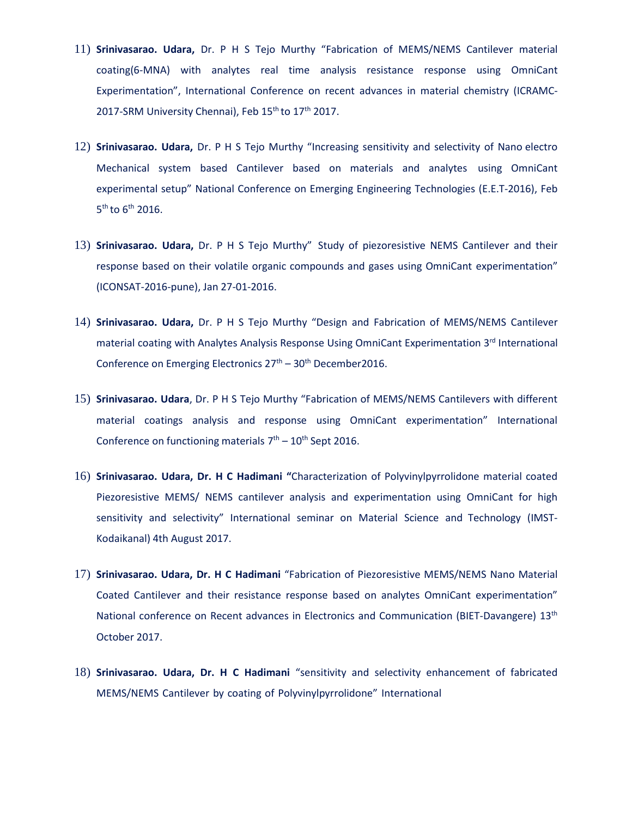- 11) **Srinivasarao. Udara,** Dr. P H S Tejo Murthy "Fabrication of MEMS/NEMS Cantilever material coating(6-MNA) with analytes real time analysis resistance response using OmniCant Experimentation", International Conference on recent advances in material chemistry (ICRAMC-2017-SRM University Chennai), Feb 15<sup>th</sup> to 17<sup>th</sup> 2017.
- 12) **Srinivasarao. Udara,** Dr. P H S Tejo Murthy "Increasing sensitivity and selectivity of Nano electro Mechanical system based Cantilever based on materials and analytes using OmniCant experimental setup" National Conference on Emerging Engineering Technologies (E.E.T-2016), Feb  $5<sup>th</sup>$  to  $6<sup>th</sup>$  2016.
- 13) **Srinivasarao. Udara,** Dr. P H S Tejo Murthy" Study of piezoresistive NEMS Cantilever and their response based on their volatile organic compounds and gases using OmniCant experimentation" (ICONSAT-2016-pune), Jan 27-01-2016.
- 14) **Srinivasarao. Udara,** Dr. P H S Tejo Murthy "Design and Fabrication of MEMS/NEMS Cantilever material coating with Analytes Analysis Response Using OmniCant Experimentation 3<sup>rd</sup> International Conference on Emerging Electronics  $27<sup>th</sup> - 30<sup>th</sup>$  December2016.
- 15) **Srinivasarao. Udara**, Dr. P H S Tejo Murthy "Fabrication of MEMS/NEMS Cantilevers with different material coatings analysis and response using OmniCant experimentation" International Conference on functioning materials  $7<sup>th</sup> - 10<sup>th</sup>$  Sept 2016.
- 16) **Srinivasarao. Udara, Dr. H C Hadimani "**Characterization of Polyvinylpyrrolidone material coated Piezoresistive MEMS/ NEMS cantilever analysis and experimentation using OmniCant for high sensitivity and selectivity" International seminar on Material Science and Technology (IMST-Kodaikanal) 4th August 2017.
- 17) **Srinivasarao. Udara, Dr. H C Hadimani** "Fabrication of Piezoresistive MEMS/NEMS Nano Material Coated Cantilever and their resistance response based on analytes OmniCant experimentation" National conference on Recent advances in Electronics and Communication (BIET-Davangere) 13<sup>th</sup> October 2017.
- 18) **Srinivasarao. Udara, Dr. H C Hadimani** "sensitivity and selectivity enhancement of fabricated MEMS/NEMS Cantilever by coating of Polyvinylpyrrolidone" International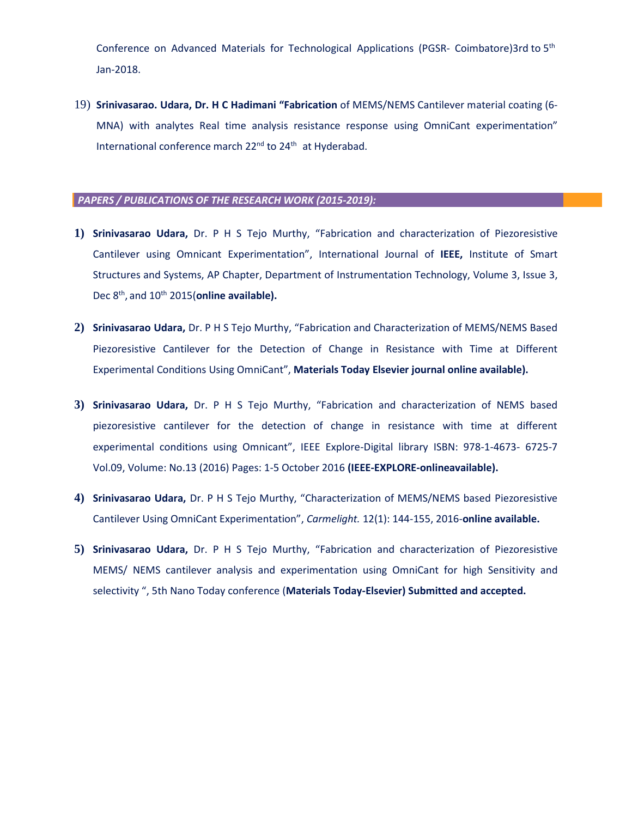Conference on Advanced Materials for Technological Applications (PGSR- Coimbatore)3rd to 5th Jan-2018.

19) **Srinivasarao. Udara, Dr. H C Hadimani "Fabrication** of MEMS/NEMS Cantilever material coating (6- MNA) with analytes Real time analysis resistance response using OmniCant experimentation" International conference march 22<sup>nd</sup> to 24<sup>th</sup> at Hyderabad.

### *PAPERS / PUBLICATIONS OF THE RESEARCH WORK (2015-2019):*

- **1) Srinivasarao Udara,** Dr. P H S Tejo Murthy, "Fabrication and characterization of Piezoresistive Cantilever using Omnicant Experimentation", International Journal of **IEEE,** Institute of Smart Structures and Systems, AP Chapter, Department of Instrumentation Technology, Volume 3, Issue 3, Dec 8<sup>th</sup>, and 10<sup>th</sup> 2015(**online available).**
- **2) Srinivasarao Udara,** Dr. P H S Tejo Murthy, "Fabrication and Characterization of MEMS/NEMS Based Piezoresistive Cantilever for the Detection of Change in Resistance with Time at Different Experimental Conditions Using OmniCant", **Materials Today Elsevier journal online available).**
- **3) Srinivasarao Udara,** Dr. P H S Tejo Murthy, "Fabrication and characterization of NEMS based piezoresistive cantilever for the detection of change in resistance with time at different experimental conditions using Omnicant", IEEE Explore-Digital library ISBN: 978-1-4673- 6725-7 Vol.09, Volume: No.13 (2016) Pages: 1-5 October 2016 **(IEEE-EXPLORE-onlineavailable).**
- **4) Srinivasarao Udara,** Dr. P H S Tejo Murthy, "Characterization of MEMS/NEMS based Piezoresistive Cantilever Using OmniCant Experimentation", *Carmelight.* 12(1): 144-155, 2016-**online available.**
- **5) Srinivasarao Udara,** Dr. P H S Tejo Murthy, "Fabrication and characterization of Piezoresistive MEMS/ NEMS cantilever analysis and experimentation using OmniCant for high Sensitivity and selectivity ", 5th Nano Today conference (**Materials Today-Elsevier) Submitted and accepted.**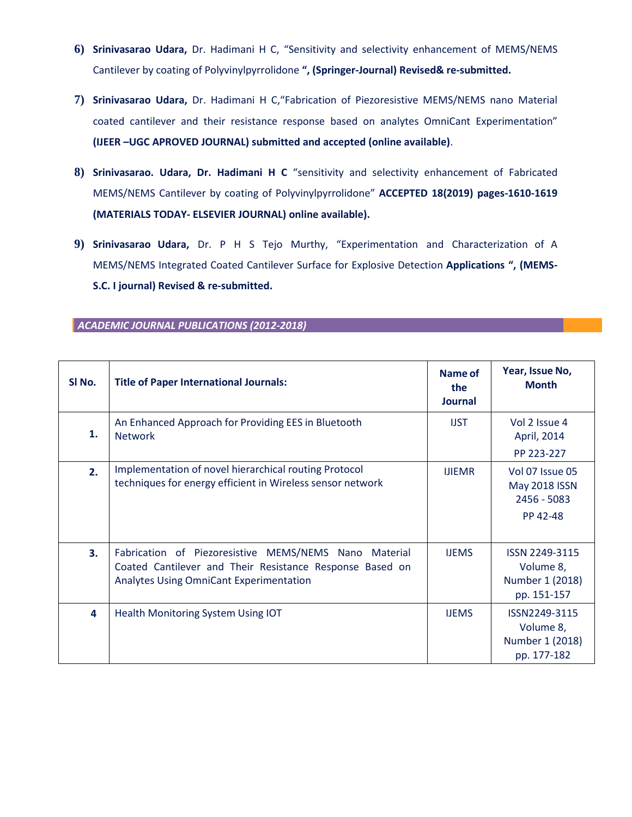- **6) Srinivasarao Udara,** Dr. Hadimani H C, "Sensitivity and selectivity enhancement of MEMS/NEMS Cantilever by coating of Polyvinylpyrrolidone **", (Springer-Journal) Revised& re-submitted.**
- **7) Srinivasarao Udara,** Dr. Hadimani H C,"Fabrication of Piezoresistive MEMS/NEMS nano Material coated cantilever and their resistance response based on analytes OmniCant Experimentation" **(IJEER –UGC APROVED JOURNAL) submitted and accepted (online available)**.
- **8) Srinivasarao. Udara, Dr. Hadimani H C** "sensitivity and selectivity enhancement of Fabricated MEMS/NEMS Cantilever by coating of Polyvinylpyrrolidone" **ACCEPTED 18(2019) pages-1610-1619 (MATERIALS TODAY- ELSEVIER JOURNAL) online available).**
- **9) Srinivasarao Udara,** Dr. P H S Tejo Murthy, "Experimentation and Characterization of A MEMS/NEMS Integrated Coated Cantilever Surface for Explosive Detection **Applications ", (MEMS-S.C. I journal) Revised & re-submitted.**

| SI No. | <b>Title of Paper International Journals:</b>                                                                                                                       | Name of<br>the<br><b>Journal</b> | Year, Issue No,<br><b>Month</b>                               |
|--------|---------------------------------------------------------------------------------------------------------------------------------------------------------------------|----------------------------------|---------------------------------------------------------------|
| 1.     | An Enhanced Approach for Providing EES in Bluetooth<br><b>Network</b>                                                                                               | <b>IJST</b>                      | Vol 2 Issue 4<br>April, 2014<br>PP 223-227                    |
| 2.     | Implementation of novel hierarchical routing Protocol<br>techniques for energy efficient in Wireless sensor network                                                 | <b>IJIEMR</b>                    | Vol 07 Issue 05<br>May 2018 ISSN<br>2456 - 5083<br>PP 42-48   |
| 3.     | Fabrication of Piezoresistive MEMS/NEMS Nano Material<br>Coated Cantilever and Their Resistance Response Based on<br><b>Analytes Using OmniCant Experimentation</b> | <b>IJEMS</b>                     | ISSN 2249-3115<br>Volume 8,<br>Number 1 (2018)<br>pp. 151-157 |
| 4      | Health Monitoring System Using IOT                                                                                                                                  | <b>IJEMS</b>                     | ISSN2249-3115<br>Volume 8,<br>Number 1 (2018)<br>pp. 177-182  |

*ACADEMIC JOURNAL PUBLICATIONS (2012-2018)*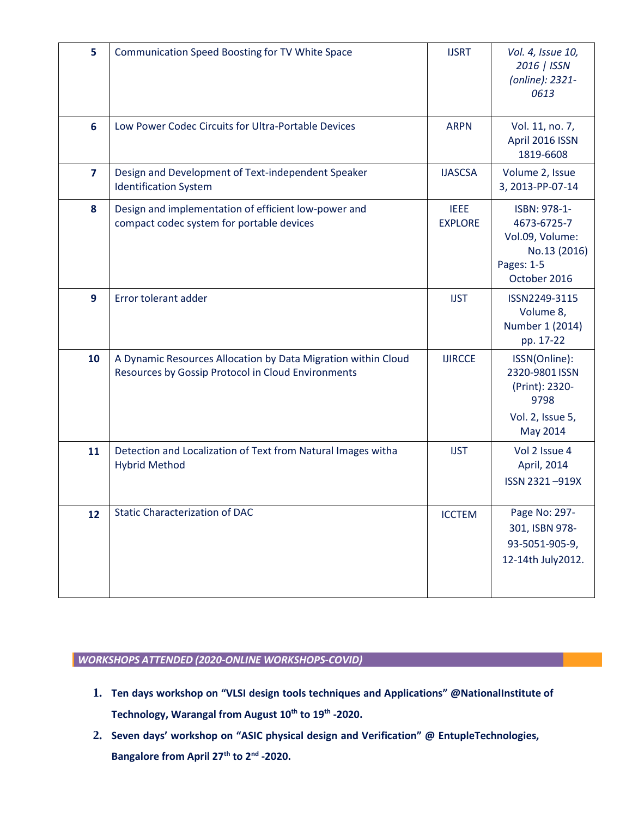| 5              | Communication Speed Boosting for TV White Space                                                                     | <b>IJSRT</b>                  | Vol. 4, Issue 10,<br>2016   ISSN<br>(online): 2321-<br>0613                                  |
|----------------|---------------------------------------------------------------------------------------------------------------------|-------------------------------|----------------------------------------------------------------------------------------------|
| 6              | Low Power Codec Circuits for Ultra-Portable Devices                                                                 | <b>ARPN</b>                   | Vol. 11, no. 7,<br>April 2016 ISSN<br>1819-6608                                              |
| $\overline{7}$ | Design and Development of Text-independent Speaker<br><b>Identification System</b>                                  | <b>IJASCSA</b>                | Volume 2, Issue<br>3, 2013-PP-07-14                                                          |
| 8              | Design and implementation of efficient low-power and<br>compact codec system for portable devices                   | <b>IEEE</b><br><b>EXPLORE</b> | ISBN: 978-1-<br>4673-6725-7<br>Vol.09, Volume:<br>No.13 (2016)<br>Pages: 1-5<br>October 2016 |
| 9              | Error tolerant adder                                                                                                | <b>IJST</b>                   | ISSN2249-3115<br>Volume 8,<br>Number 1 (2014)<br>pp. 17-22                                   |
| 10             | A Dynamic Resources Allocation by Data Migration within Cloud<br>Resources by Gossip Protocol in Cloud Environments | <b>IJIRCCE</b>                | ISSN(Online):<br>2320-9801 ISSN<br>(Print): 2320-<br>9798<br>Vol. 2, Issue 5,<br>May 2014    |
| 11             | Detection and Localization of Text from Natural Images witha<br><b>Hybrid Method</b>                                | <b>IJST</b>                   | Vol 2 Issue 4<br>April, 2014<br>ISSN 2321-919X                                               |
| 12             | <b>Static Characterization of DAC</b>                                                                               | <b>ICCTEM</b>                 | Page No: 297-<br>301, ISBN 978-<br>93-5051-905-9,<br>12-14th July2012.                       |

### *WORKSHOPS ATTENDED (2020-ONLINE WORKSHOPS-COVID)*

- **1. Ten days workshop on "VLSI design tools techniques and Applications" @NationalInstitute of Technology, Warangal from August 10th to 19th -2020.**
- **2. Seven days' workshop on "ASIC physical design and Verification" @ EntupleTechnologies, Bangalore from April 27th to 2nd -2020.**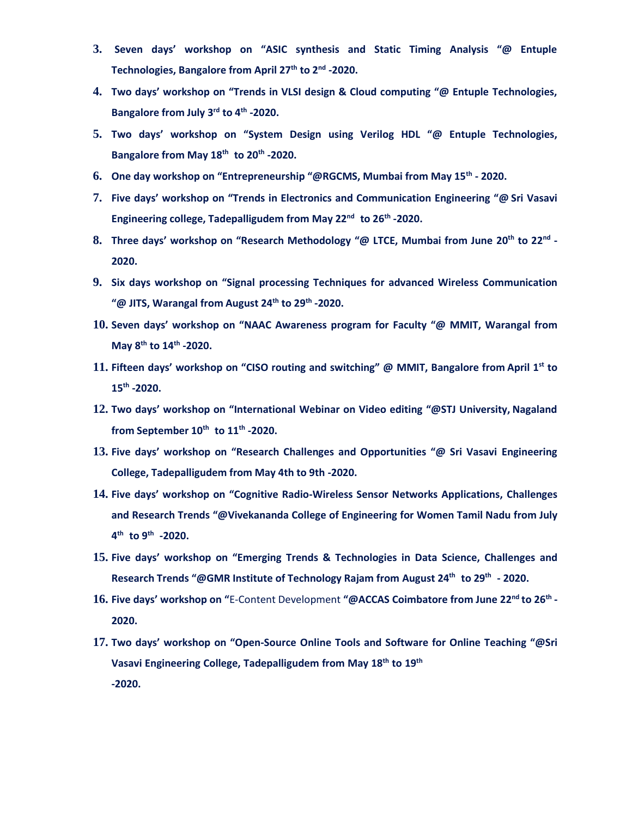- **3. Seven days' workshop on "ASIC synthesis and Static Timing Analysis "@ Entuple Technologies, Bangalore from April 27th to 2nd -2020.**
- **4. Two days' workshop on "Trends in VLSI design & Cloud computing "@ Entuple Technologies, Bangalore from July 3rd to 4th -2020.**
- **5. Two days' workshop on "System Design using Verilog HDL "@ Entuple Technologies, Bangalore from May 18th to 20th -2020.**
- **6. One day workshop on "Entrepreneurship "@RGCMS, Mumbai from May 15th - 2020.**
- **7. Five days' workshop on "Trends in Electronics and Communication Engineering "@ Sri Vasavi Engineering college, Tadepalligudem from May 22nd to 26th -2020.**
- **8. Three days' workshop on "Research Methodology "@ LTCE, Mumbai from June 20th to 22nd - 2020.**
- **9. Six days workshop on "Signal processing Techniques for advanced Wireless Communication "@ JITS, Warangal from August 24th to 29th -2020.**
- **10. Seven days' workshop on "NAAC Awareness program for Faculty "@ MMIT, Warangal from May 8th to 14th -2020.**
- **11. Fifteen days' workshop on "CISO routing and switching" @ MMIT, Bangalore from April 1 st to 15th -2020.**
- **12. Two days' workshop on "International Webinar on Video editing "@STJ University, Nagaland from September 10th to 11th -2020.**
- **13. Five days' workshop on "Research Challenges and Opportunities "@ Sri Vasavi Engineering College, Tadepalligudem from May 4th to 9th -2020.**
- **14. Five days' workshop on "Cognitive Radio-Wireless Sensor Networks Applications, Challenges and Research Trends "@Vivekananda College of Engineering for Women Tamil Nadu from July 4 th to 9th -2020.**
- **15. Five days' workshop on "Emerging Trends & Technologies in Data Science, Challenges and Research Trends "@GMR Institute of Technology Rajam from August 24th to 29th - 2020.**
- **16. Five days' workshop on "**E-Content Development **"@ACCAS Coimbatore from June 22nd to 26th - 2020.**
- **17. Two days' workshop on "Open-Source Online Tools and Software for Online Teaching "@Sri Vasavi Engineering College, Tadepalligudem from May 18th to 19th -2020.**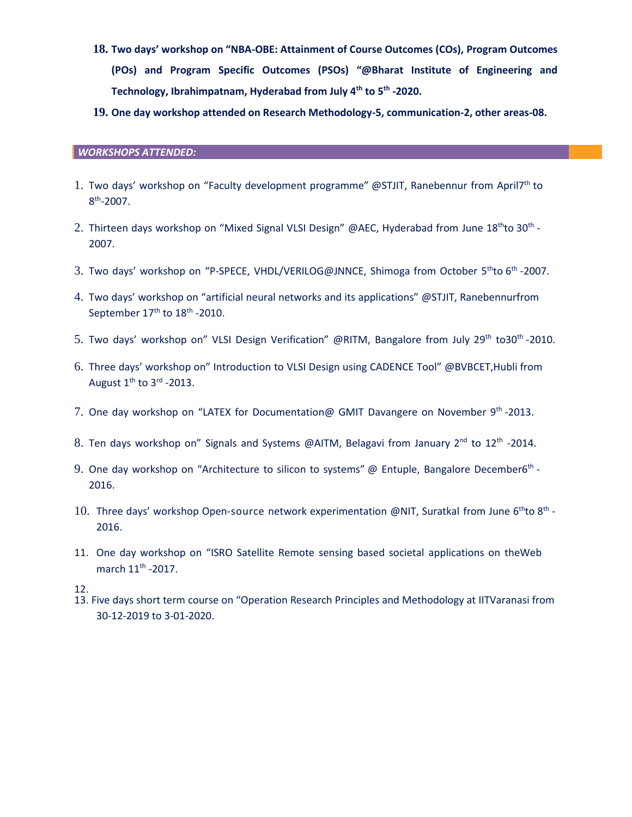- **18. Two days' workshop on "NBA-OBE: Attainment of Course Outcomes (COs), Program Outcomes (POs) and Program Specific Outcomes (PSOs) "@Bharat Institute of Engineering and Technology, Ibrahimpatnam, Hyderabad from July 4th to 5 th -2020.**
- **19. One day workshop attended on Research Methodology-5, communication-2, other areas-08.**

#### *WORKSHOPS ATTENDED:*

- 1. Two days' workshop on "Faculty development programme" @STJIT, Ranebennur from April7<sup>th</sup> to  $8<sup>th</sup> - 2007$ .
- 2. Thirteen days workshop on "Mixed Signal VLSI Design" @AEC, Hyderabad from June 18<sup>th</sup>to 30<sup>th</sup> -2007.
- 3. Two days' workshop on "P-SPECE, VHDL/VERILOG@JNNCE, Shimoga from October 5<sup>th</sup>to 6<sup>th</sup> -2007.
- 4. Two days' workshop on "artificial neural networks and its applications" @STJIT, Ranebennurfrom September  $17<sup>th</sup>$  to  $18<sup>th</sup>$  -2010.
- 5. Two days' workshop on" VLSI Design Verification" @RITM, Bangalore from July 29<sup>th</sup> to30<sup>th</sup> -2010.
- 6. Three days' workshop on" Introduction to VLSI Design using CADENCE Tool" @BVBCET,Hubli from August  $1^{\text{th}}$  to 3<sup>rd</sup> -2013.
- 7. One day workshop on "LATEX for Documentation@ GMIT Davangere on November 9<sup>th</sup> -2013.
- 8. Ten days workshop on" Signals and Systems @AITM, Belagavi from January 2<sup>nd</sup> to 12<sup>th</sup> -2014.
- 9. One day workshop on "Architecture to silicon to systems" @ Entuple, Bangalore December6<sup>th</sup> -2016.
- 10. Three days' workshop Open-source network experimentation @NIT, Suratkal from June  $6^{th}$ to  $8^{th}$  -2016.
- 11. One day workshop on "ISRO Satellite Remote sensing based societal applications on theWeb march  $11^{\text{th}}$  -2017.
- 12.
- 13. Five days short term course on "Operation Research Principles and Methodology at IITVaranasi from 30-12-2019 to 3-01-2020.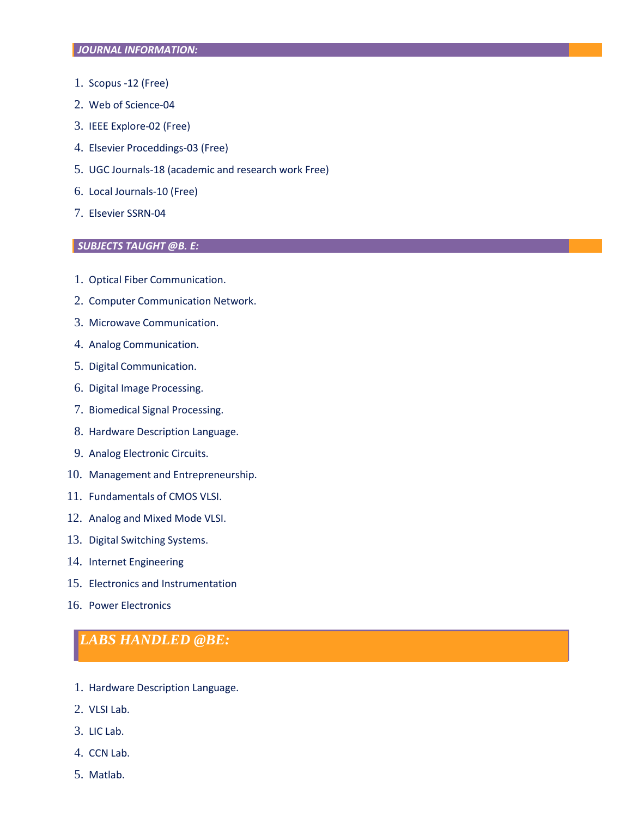- 1. Scopus -12 (Free)
- 2. Web of Science-04
- 3. IEEE Explore-02 (Free)
- 4. Elsevier Proceddings-03 (Free)
- 5. UGC Journals-18 (academic and research work Free)
- 6. Local Journals-10 (Free)
- 7. Elsevier SSRN-04

### *[SUBJECTS](mailto:SUBJECTSTAUGHT@B.E) TAUGHT @B. E:*

- 1. Optical Fiber Communication.
- 2. Computer Communication Network.
- 3. Microwave Communication.
- 4. Analog Communication.
- 5. Digital Communication.
- 6. Digital Image Processing.
- 7. Biomedical Signal Processing.
- 8. Hardware Description Language.
- 9. Analog Electronic Circuits.
- 10. Management and Entrepreneurship.
- 11. Fundamentals of CMOS VLSI.
- 12. Analog and Mixed Mode VLSI.
- 13. Digital Switching Systems.
- 14. Internet Engineering
- 15. Electronics and Instrumentation
- 16. Power Electronics

### *LABS HANDLED @BE:*

- 1. Hardware Description Language.
- 2. VLSI Lab.
- 3. LIC Lab.
- 4. CCN Lab.
- 5. Matlab.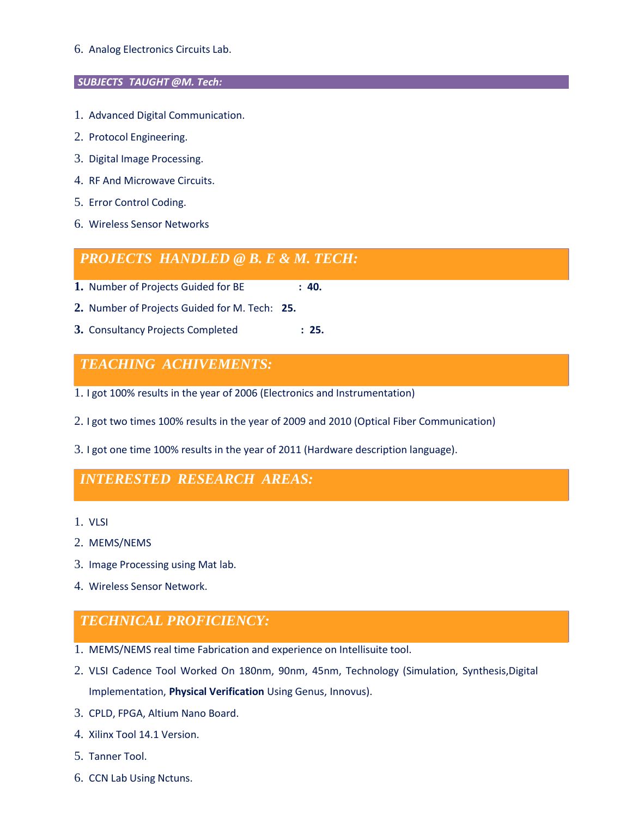6. Analog Electronics Circuits Lab.

### *SUBJECTS TAUGHT [@M. Tech:](mailto:SUBJECTSTAUGHT@M.Tech)*

- 1. Advanced Digital Communication.
- 2. Protocol Engineering.
- 3. Digital Image Processing.
- 4. RF And Microwave Circuits.
- 5. Error Control Coding.
- 6. Wireless Sensor Networks

# *PROJECTS HANDLED @ B. E & M. TECH:*

- **1.** Number of Projects Guided for BE **: 40.**
- **2.** Number of Projects Guided for M. Tech: **25.**
- **3.** Consultancy Projects Completed **: 25.**

# *TEACHING ACHIVEMENTS:*

- 1. I got 100% results in the year of 2006 (Electronics and Instrumentation)
- 2. I got two times 100% results in the year of 2009 and 2010 (Optical Fiber Communication)
- 3. I got one time 100% results in the year of 2011 (Hardware description language).

# *INTERESTED RESEARCH AREAS:*

- 1. VLSI
- 2. MEMS/NEMS
- 3. Image Processing using Mat lab.
- 4. Wireless Sensor Network.

# *TECHNICAL PROFICIENCY:*

- 1. MEMS/NEMS real time Fabrication and experience on Intellisuite tool.
- 2. VLSI Cadence Tool Worked On 180nm, 90nm, 45nm, Technology (Simulation, Synthesis,Digital Implementation, **Physical Verification** Using Genus, Innovus).
- 3. CPLD, FPGA, Altium Nano Board.
- 4. Xilinx Tool 14.1 Version.
- 5. Tanner Tool.
- 6. CCN Lab Using Nctuns.